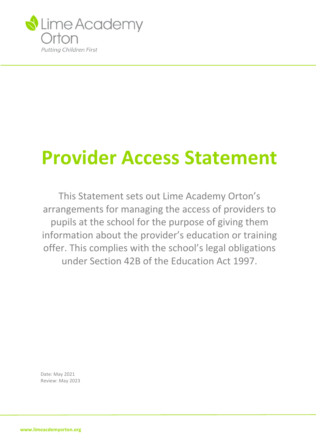

# **Provider Access Statement**

This Statement sets out Lime Academy Orton's arrangements for managing the access of providers to pupils at the school for the purpose of giving them information about the provider's education or training offer. This complies with the school's legal obligations under Section 42B of the Education Act 1997.

Date: May 2021 Review: May 2023